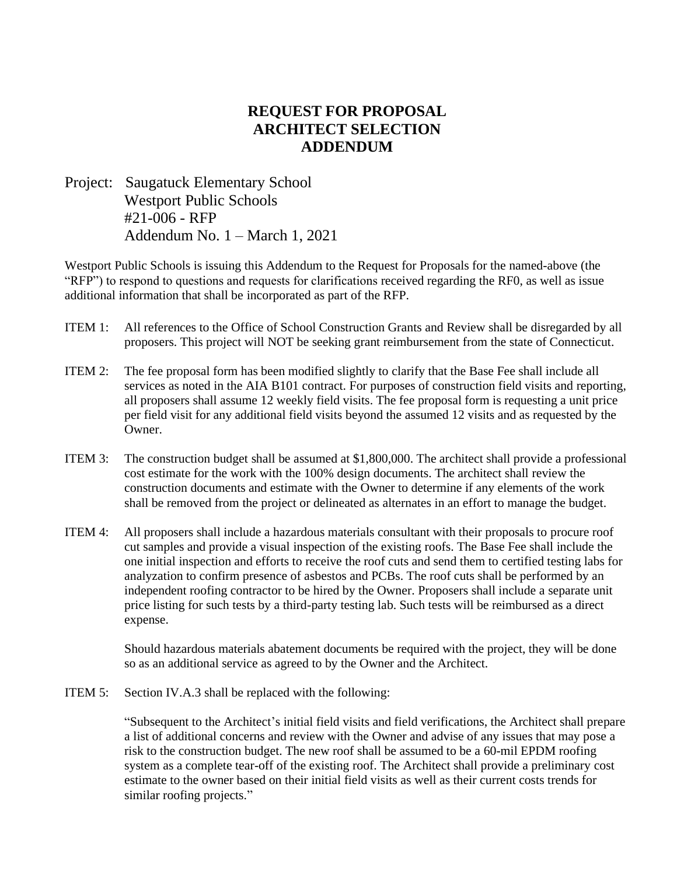## **REQUEST FOR PROPOSAL ARCHITECT SELECTION ADDENDUM**

Project: Saugatuck Elementary School Westport Public Schools #21-006 - RFP Addendum No. 1 – March 1, 2021

Westport Public Schools is issuing this Addendum to the Request for Proposals for the named-above (the "RFP") to respond to questions and requests for clarifications received regarding the RF0, as well as issue additional information that shall be incorporated as part of the RFP.

- ITEM 1: All references to the Office of School Construction Grants and Review shall be disregarded by all proposers. This project will NOT be seeking grant reimbursement from the state of Connecticut.
- ITEM 2: The fee proposal form has been modified slightly to clarify that the Base Fee shall include all services as noted in the AIA B101 contract. For purposes of construction field visits and reporting, all proposers shall assume 12 weekly field visits. The fee proposal form is requesting a unit price per field visit for any additional field visits beyond the assumed 12 visits and as requested by the Owner.
- ITEM 3: The construction budget shall be assumed at \$1,800,000. The architect shall provide a professional cost estimate for the work with the 100% design documents. The architect shall review the construction documents and estimate with the Owner to determine if any elements of the work shall be removed from the project or delineated as alternates in an effort to manage the budget.
- ITEM 4: All proposers shall include a hazardous materials consultant with their proposals to procure roof cut samples and provide a visual inspection of the existing roofs. The Base Fee shall include the one initial inspection and efforts to receive the roof cuts and send them to certified testing labs for analyzation to confirm presence of asbestos and PCBs. The roof cuts shall be performed by an independent roofing contractor to be hired by the Owner. Proposers shall include a separate unit price listing for such tests by a third-party testing lab. Such tests will be reimbursed as a direct expense.

Should hazardous materials abatement documents be required with the project, they will be done so as an additional service as agreed to by the Owner and the Architect.

ITEM 5: Section IV.A.3 shall be replaced with the following:

"Subsequent to the Architect's initial field visits and field verifications, the Architect shall prepare a list of additional concerns and review with the Owner and advise of any issues that may pose a risk to the construction budget. The new roof shall be assumed to be a 60-mil EPDM roofing system as a complete tear-off of the existing roof. The Architect shall provide a preliminary cost estimate to the owner based on their initial field visits as well as their current costs trends for similar roofing projects."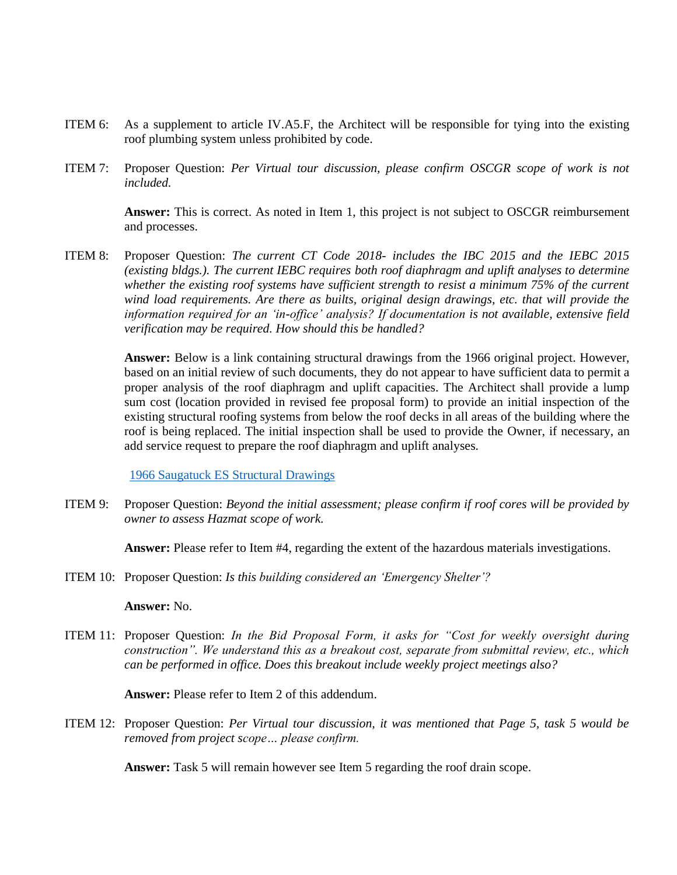- ITEM 6: As a supplement to article IV.A5.F, the Architect will be responsible for tying into the existing roof plumbing system unless prohibited by code.
- ITEM 7: Proposer Question: *Per Virtual tour discussion, please confirm OSCGR scope of work is not included.*

**Answer:** This is correct. As noted in Item 1, this project is not subject to OSCGR reimbursement and processes.

ITEM 8: Proposer Question: *The current CT Code 2018- includes the IBC 2015 and the IEBC 2015 (existing bldgs.). The current IEBC requires both roof diaphragm and uplift analyses to determine whether the existing roof systems have sufficient strength to resist a minimum 75% of the current wind load requirements. Are there as builts, original design drawings, etc. that will provide the information required for an 'in-office' analysis? If documentation is not available, extensive field verification may be required. How should this be handled?*

> **Answer:** Below is a link containing structural drawings from the 1966 original project. However, based on an initial review of such documents, they do not appear to have sufficient data to permit a proper analysis of the roof diaphragm and uplift capacities. The Architect shall provide a lump sum cost (location provided in revised fee proposal form) to provide an initial inspection of the existing structural roofing systems from below the roof decks in all areas of the building where the roof is being replaced. The initial inspection shall be used to provide the Owner, if necessary, an add service request to prepare the roof diaphragm and uplift analyses.

[1966 Saugatuck ES Structural Drawings](https://colliers-my.sharepoint.com/personal/charles_warrington_colliers_com/_layouts/15/guestaccess.aspx?folderid=0d45ee4418be14f17b284195922df3909&authkey=AXm5ltdElXLKWQ7TZgE74gI&expiration=2021-05-30T04%3A00%3A00.000Z&e=GvIbX6)

ITEM 9: Proposer Question: *Beyond the initial assessment; please confirm if roof cores will be provided by owner to assess Hazmat scope of work.*

**Answer:** Please refer to Item #4, regarding the extent of the hazardous materials investigations.

ITEM 10: Proposer Question: *Is this building considered an 'Emergency Shelter'?*

## **Answer:** No.

ITEM 11: Proposer Question: *In the Bid Proposal Form, it asks for "Cost for weekly oversight during construction". We understand this as a breakout cost, separate from submittal review, etc., which can be performed in office. Does this breakout include weekly project meetings also?* 

**Answer:** Please refer to Item 2 of this addendum.

ITEM 12: Proposer Question: *Per Virtual tour discussion, it was mentioned that Page 5, task 5 would be removed from project scope… please confirm.*

**Answer:** Task 5 will remain however see Item 5 regarding the roof drain scope.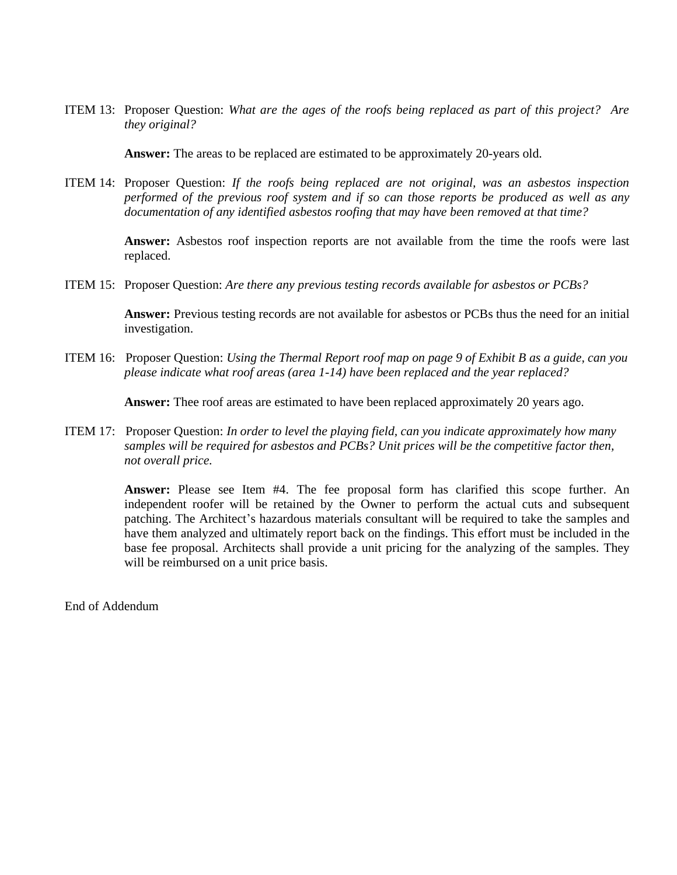ITEM 13: Proposer Question: *What are the ages of the roofs being replaced as part of this project? Are they original?*

**Answer:** The areas to be replaced are estimated to be approximately 20-years old.

ITEM 14: Proposer Question: *If the roofs being replaced are not original, was an asbestos inspection performed of the previous roof system and if so can those reports be produced as well as any documentation of any identified asbestos roofing that may have been removed at that time?*

> **Answer:** Asbestos roof inspection reports are not available from the time the roofs were last replaced.

ITEM 15: Proposer Question: *Are there any previous testing records available for asbestos or PCBs?*

**Answer:** Previous testing records are not available for asbestos or PCBs thus the need for an initial investigation.

ITEM 16: Proposer Question: *Using the Thermal Report roof map on page 9 of Exhibit B as a guide, can you please indicate what roof areas (area 1-14) have been replaced and the year replaced?*

**Answer:** Thee roof areas are estimated to have been replaced approximately 20 years ago.

ITEM 17: Proposer Question: *In order to level the playing field, can you indicate approximately how many samples will be required for asbestos and PCBs? Unit prices will be the competitive factor then, not overall price.*

> **Answer:** Please see Item #4. The fee proposal form has clarified this scope further. An independent roofer will be retained by the Owner to perform the actual cuts and subsequent patching. The Architect's hazardous materials consultant will be required to take the samples and have them analyzed and ultimately report back on the findings. This effort must be included in the base fee proposal. Architects shall provide a unit pricing for the analyzing of the samples. They will be reimbursed on a unit price basis.

End of Addendum